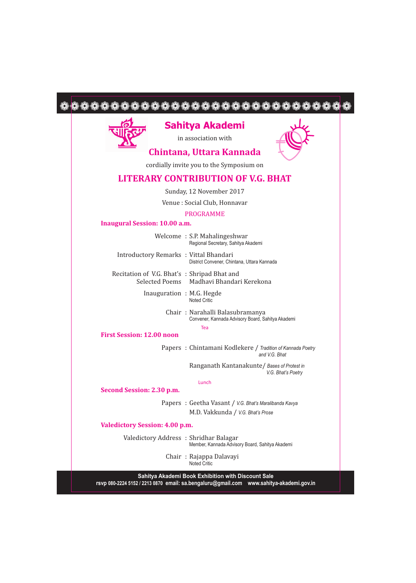|                                             | Sahitya Akademi<br>in association with                                                     |
|---------------------------------------------|--------------------------------------------------------------------------------------------|
|                                             | Chintana, Uttara Kannada                                                                   |
|                                             | cordially invite you to the Symposium on                                                   |
|                                             | <b>LITERARY CONTRIBUTION OF V.G. BHAT</b>                                                  |
|                                             | Sunday, 12 November 2017                                                                   |
|                                             | Venue : Social Club, Honnavar                                                              |
|                                             | <b>PROGRAMME</b>                                                                           |
| <b>Inaugural Session: 10.00 a.m.</b>        |                                                                                            |
|                                             | Welcome: S.P. Mahalingeshwar<br>Regional Secretary, Sahitya Akademi                        |
| Introductory Remarks : Vittal Bhandari      | District Convener, Chintana, Uttara Kannada                                                |
| Recitation of V.G. Bhat's: Shripad Bhat and | Selected Poems Madhavi Bhandari Kerekona                                                   |
| Inauguration: M.G. Hegde                    | Noted Critic                                                                               |
|                                             | Chair: Narahalli Balasubramanya<br>Convener, Kannada Advisory Board, Sahitya Akademi       |
| <b>First Session: 12.00 noon</b>            | Tea                                                                                        |
|                                             | Papers: Chintamani Kodlekere / Tradition of Kannada Poetry<br>and V.G. Bhat                |
|                                             | Ranganath Kantanakunte / Bases of Protest in<br>V.G. Bhat's Poetry                         |
|                                             | Lunch                                                                                      |
| Second Session: 2.30 p.m.                   |                                                                                            |
|                                             | Papers: Geetha Vasant / V.G. Bhat's Maralibanda Kavya<br>M.D. Vakkunda / V.G. Bhat's Prose |
|                                             |                                                                                            |
| <b>Valedictory Session: 4.00 p.m.</b>       |                                                                                            |
| Valedictory Address: Shridhar Balagar       | Member, Kannada Advisory Board, Sahitya Akademi                                            |
|                                             | Chair: Rajappa Dalavayi<br><b>Noted Critic</b>                                             |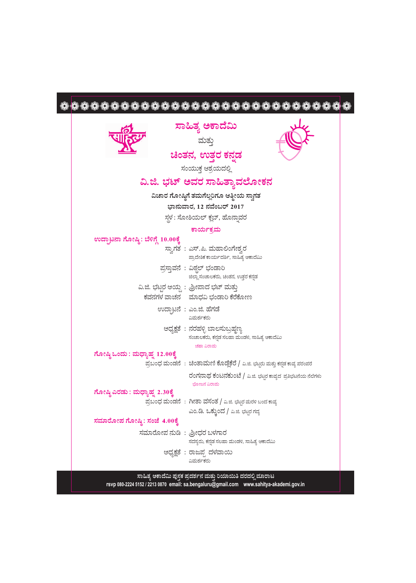## 

| ಸಾಹಿತ್ಯ ಅಕಾದೆಮಿ<br>ಮತ್ತು                                                                                                                                |
|---------------------------------------------------------------------------------------------------------------------------------------------------------|
| ಚಿಂತನ, ಉತ್ತರ ಕನ್ನಡ                                                                                                                                      |
|                                                                                                                                                         |
| ಸಂಯುಕ್ತ ಆಶ್ರಯದಲ್ಲಿ                                                                                                                                      |
| ವಿ.ಜಿ. ಭಟ್ ಅವರ ಸಾಹಿತ್ತಾವಲೋಕನ                                                                                                                            |
| ವಿಚಾರ ಗೋಷ್ಠಿಗೆ ತಮಗೆಲ್ಲರಿಗೂ ಆತ್ಮೀಯ ಸ್ವಾಗತ                                                                                                                |
| ಭಾನುವಾರ, 12 ನವೆಂಬರ್ 2017                                                                                                                                |
| ಸ್ಥಳ: ಸೋಶಿಯಲ್ ಕ್ಲಬ್, ಹೊನ್ನಾವರ                                                                                                                           |
| ಕಾರ್ಯಕ್ರಮ                                                                                                                                               |
| ಉದ್ಘಾಟನಾ ಗೋಷ್ಠಿ: ಬೆಳಿಗ್ಗೆ 10.00ಕ್ಕೆ<br>ಸ್ತಾಗತ : ಎಸ್.ಪಿ. ಮಹಾಲಿಂಗೇಶ್ರರ<br>ಪ್ರಾದೇಶಿಕ ಕಾರ್ಯದರ್ಶಿ, ಸಾಹಿತ್ಯ ಅಕಾದೆಮಿ                                           |
| ಪ್ರಸ್ತಾವನೆ : ವಿಠ್ಠಲ್ ಭಂಡಾರಿ<br>ಜಿಲ್ಲಾ ಸಂಚಾಲಕರು, ಚಿಂತನ, ಉತ್ತರ ಕನ್ನಡ                                                                                      |
| ವಿ.ಜಿ. ಭಟ್ಟರ ಆಯ್ದ : ಶ್ರೀಪಾದ ಭಟ್ ಮತ್ತು<br>ಕವನಗಳ ವಾಚನ ಮಾಧವಿ ಭಂಡಾರಿ ಕೆರೆಕೋಣ                                                                                |
| ಉದ್ಘಾಟನೆ : ಎಂ.ಜಿ. ಹೆಗಡೆ<br>ವಿಮರ್ಶಕರು                                                                                                                    |
| ಅಧ್ಯಕ್ಷತೆ : ನರಹಳ್ಳಿ ಬಾಲಸುಬ್ರಹ್ಮಣ್ಯ<br>ಸಂಚಾಲಕರು, ಕನ್ನಡ ಸಲಹಾ ಮಂಡಳಿ, ಸಾಹಿತ್ಯ ಆಕಾದೆಮಿ<br>ಚಹಾ ವಿರಾಮ                                                          |
| ಗೋಷ್ಠಿ ಒಂದು : ಮಧ್ಯಾಹ್ನ 12.00ಕ್ಕೆ                                                                                                                        |
| ಪ್ರಬಂಧ ಮಂಡನೆ : ಚಿಂತಾಮಣಿ ಕೊಡ್ಲೆಕೆರೆ / ವಿ.ಜಿ. ಭಟ್ಟರು ಮತ್ತು ಕನ್ನಡ ಕಾವ್ಯ ಪರಂಪರೆ                                                                             |
| ರಂಗನಾಥ ಕಂಟನಕುಂಟೆ / ಎ.ಜಿ. ಭಟ್ಟರ ಕಾವ್ಯದ ಪ್ರತಿಭಟನೆಯ ನೆಲೆಗಳು<br>ಭೋಜನ ವಿರಾಮ                                                                                  |
| ಗೋಷ್ಠಿ ಎರಡು : ಮಧ್ಯಾಹ್ನ 2.30ಕ್ಕೆ                                                                                                                         |
| ಪ್ರಬಂಧ ಮಂಡನೆ : ಗೀತಾ ವಸಂತ / ವಿ.ಜಿ. ಭಟ್ಟರ ಮರಳಿ ಬಂದ ಕಾವ್ಯ                                                                                                  |
| ಎಂ.ಡಿ. ಒಕ್ತುಂದ / ವಿ.ಜಿ. ಭಟ್ಟರ ಗದ್ಯ                                                                                                                      |
| ಸಮಾರೋಪ ಗೋಷ್ಠಿ: ಸಂಜೆ 4.00ಕ್ಕೆ                                                                                                                            |
| ಸಮಾರೋಪ ನುಡಿ: ಶ್ರೀಧರ ಬಳಗಾರ<br>ಸದಸ್ಯರು, ಕನ್ನಡ ಸಲಹಾ ಮಂಡಳಿ, ಸಾಹಿತ್ಯ ಆಕಾದೆಮಿ                                                                                 |
| ಅಧ್ಯಕ್ಷತೆ : ರಾಜಪ್ಪ ದಳವಾಯಿ<br>ವಿಮರ್ಶಕರು                                                                                                                  |
|                                                                                                                                                         |
| ಸಾಹಿತ್ಯ ಅಕಾದೆಮಿ ಪುಸ್ತಕ ಪ್ರದರ್ಶನ ಮತ್ತು ರಿಯಾಯಿತಿ ದರದಲ್ಲಿ ಮಾರಾಟ<br>rsvp 080-2224 5152 / 2213 0870 email: sa.bengaluru@gmail.com www.sahitya-akademi.gov.in |